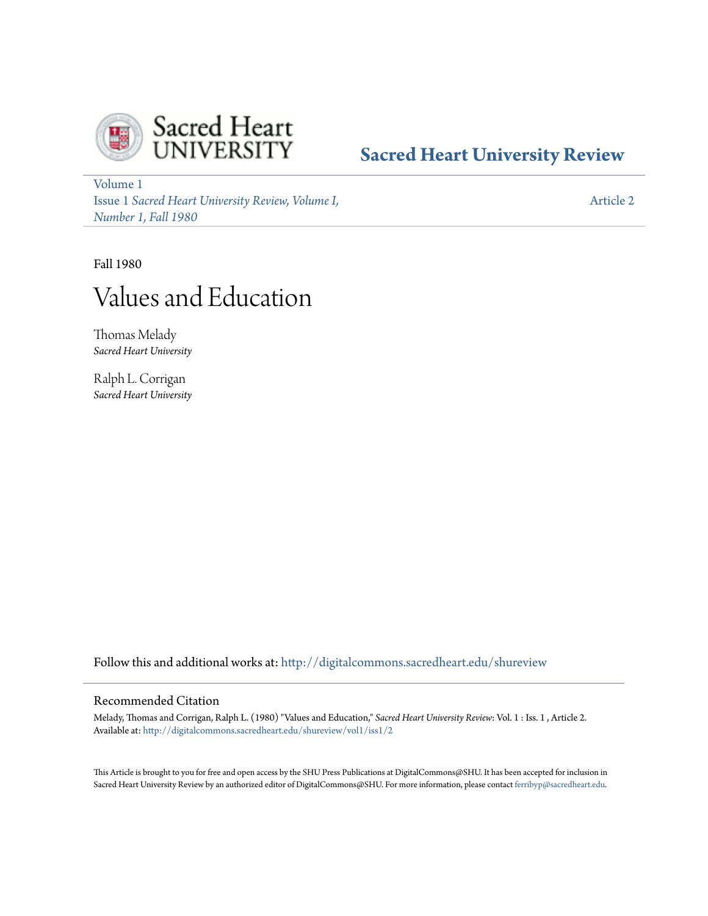

# **[Sacred Heart University Review](http://digitalcommons.sacredheart.edu/shureview?utm_source=digitalcommons.sacredheart.edu%2Fshureview%2Fvol1%2Fiss1%2F2&utm_medium=PDF&utm_campaign=PDFCoverPages)**

[Volume 1](http://digitalcommons.sacredheart.edu/shureview/vol1?utm_source=digitalcommons.sacredheart.edu%2Fshureview%2Fvol1%2Fiss1%2F2&utm_medium=PDF&utm_campaign=PDFCoverPages) Issue 1 *[Sacred Heart University Review, Volume I,](http://digitalcommons.sacredheart.edu/shureview/vol1/iss1?utm_source=digitalcommons.sacredheart.edu%2Fshureview%2Fvol1%2Fiss1%2F2&utm_medium=PDF&utm_campaign=PDFCoverPages) [Number 1, Fall 1980](http://digitalcommons.sacredheart.edu/shureview/vol1/iss1?utm_source=digitalcommons.sacredheart.edu%2Fshureview%2Fvol1%2Fiss1%2F2&utm_medium=PDF&utm_campaign=PDFCoverPages)*

[Article 2](http://digitalcommons.sacredheart.edu/shureview/vol1/iss1/2?utm_source=digitalcommons.sacredheart.edu%2Fshureview%2Fvol1%2Fiss1%2F2&utm_medium=PDF&utm_campaign=PDFCoverPages)

Fall 1980

# Values and Education

Thomas Melady *Sacred Heart University*

Ralph L. Corrigan *Sacred Heart University*

Follow this and additional works at: [http://digitalcommons.sacredheart.edu/shureview](http://digitalcommons.sacredheart.edu/shureview?utm_source=digitalcommons.sacredheart.edu%2Fshureview%2Fvol1%2Fiss1%2F2&utm_medium=PDF&utm_campaign=PDFCoverPages)

# Recommended Citation

Melady, Thomas and Corrigan, Ralph L. (1980) "Values and Education," *Sacred Heart University Review*: Vol. 1 : Iss. 1 , Article 2. Available at: [http://digitalcommons.sacredheart.edu/shureview/vol1/iss1/2](http://digitalcommons.sacredheart.edu/shureview/vol1/iss1/2?utm_source=digitalcommons.sacredheart.edu%2Fshureview%2Fvol1%2Fiss1%2F2&utm_medium=PDF&utm_campaign=PDFCoverPages)

This Article is brought to you for free and open access by the SHU Press Publications at DigitalCommons@SHU. It has been accepted for inclusion in Sacred Heart University Review by an authorized editor of DigitalCommons@SHU. For more information, please contact [ferribyp@sacredheart.edu](mailto:ferribyp@sacredheart.edu).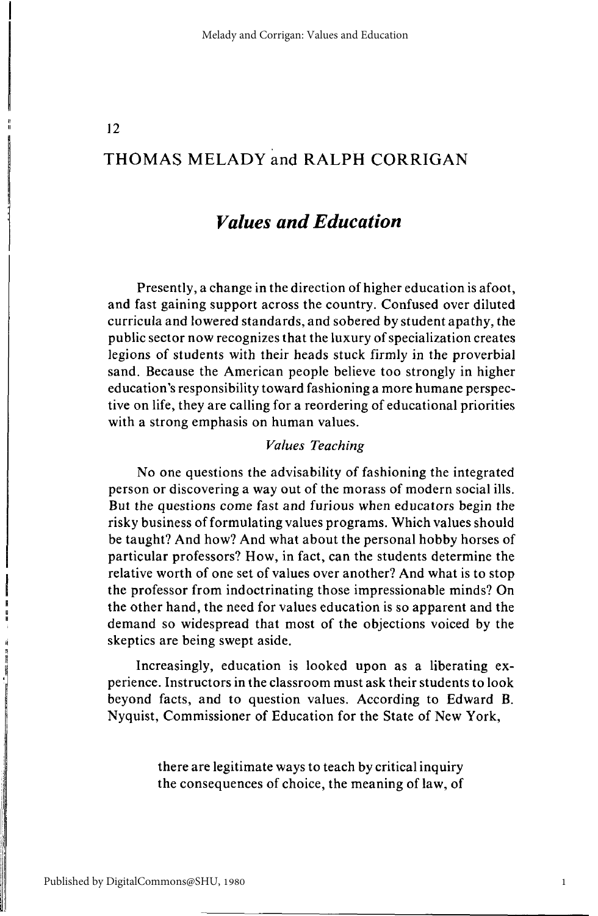# 12

# THOMAS MELADY and RALPH CORRIGAN

# *Values and Education*

Presently, a change in the direction of higher education is afoot, and fast gaining support across the country. Confused over diluted curricula and lowered standards, and sobered by student apathy, the public sector now recognizes that the luxury of specialization creates legions of students with their heads stuck firmly in the proverbial sand. Because the American people believe too strongly in higher education's responsibility toward fashioning a more humane perspective on life, they are calling for a reordering of educational priorities with a strong emphasis on human values.

# *Values Teaching*

No one questions the advisability of fashioning the integrated person or discovering a way out of the morass of modern social ills. But the questions come fast and furious when educators begin the risky business of formulating values programs. Which values should be taught? And how? And what about the personal hobby horses of particular professors? How, in fact, can the students determine the relative worth of one set of values over another? And what is to stop the professor from indoctrinating those impressionable minds? On the other hand, the need for values education is so apparent and the demand so widespread that most of the objections voiced by the skeptics are being swept aside.

Increasingly, education is looked upon as a liberating experience. Instructors in the classroom must ask their students to look beyond facts, and to question values. According to Edward B. Nyquist, Commissioner of Education for the State of New York,

> there are legitimate ways to teach by critical inquiry the consequences of choice, the meaning of law, of

1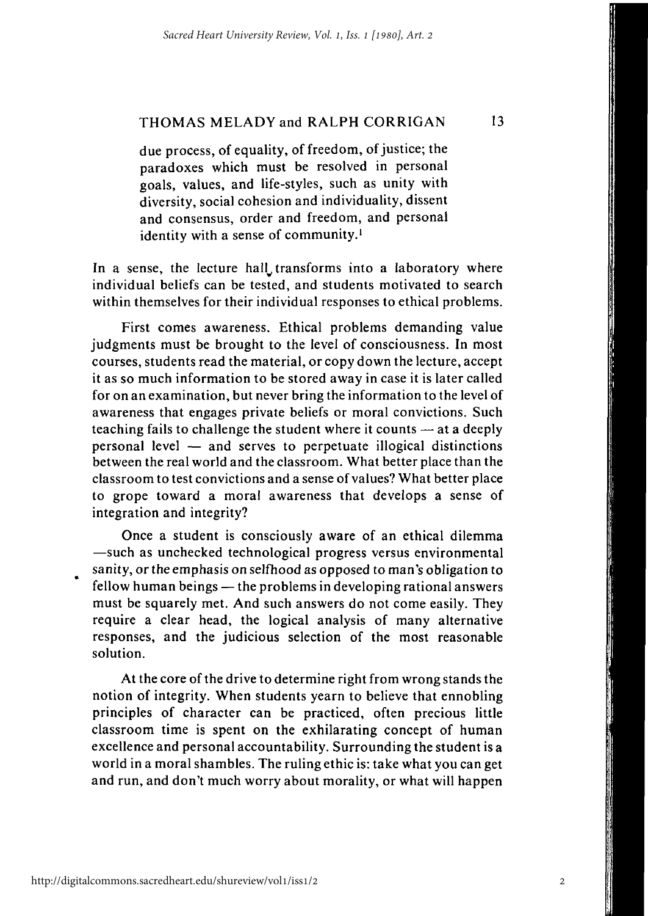due process, of equality, of freedom, of justice; the paradoxes which must be resolved in personal goals, values, and life-styles, such as unity with diversity, social cohesion and individuality, dissent and consensus, order and freedom, and personal identity with a sense of community.<sup>1</sup>

In a sense, the lecture hall transforms into a laboratory where individual beliefs can be tested, and students motivated to search within themselves for their individual responses to ethical problems.

First comes awareness. Ethical problems demanding value judgments must be brought to the level of consciousness. In most courses, students read the material, or copy down the lecture, accept it as so much information to be stored away in case it is later called for on an examination, but never bring the information to the level of awareness that engages private beliefs or moral convictions. Such teaching fails to challenge the student where it counts — at a deeply personal level — and serves to perpetuate illogical distinctions between the real world and the classroom. What better place than the classroom to test convictions and a sense of values? What better place to grope toward a moral awareness that develops a sense of integration and integrity?

Once a student is consciously aware of an ethical dilemma —such as unchecked technological progress versus environmental sanity, or the emphasis on selfhood as opposed to man's obligation to fellow human beings — the problems in developing rational answers must be squarely met. And such answers do not come easily. They require a clear head, the logical analysis of many alternative responses, and the judicious selection of the most reasonable solution.

At the core of the drive to determine right from wrong stands the notion of integrity. When students yearn to believe that ennobling principles of character can be practiced, often precious little classroom time is spent on the exhilarating concept of human excellence and personal accountability. Surrounding the student is a world in a moral shambles. The ruling ethic is: take what you can get and run, and don't much worry about morality, or what will happen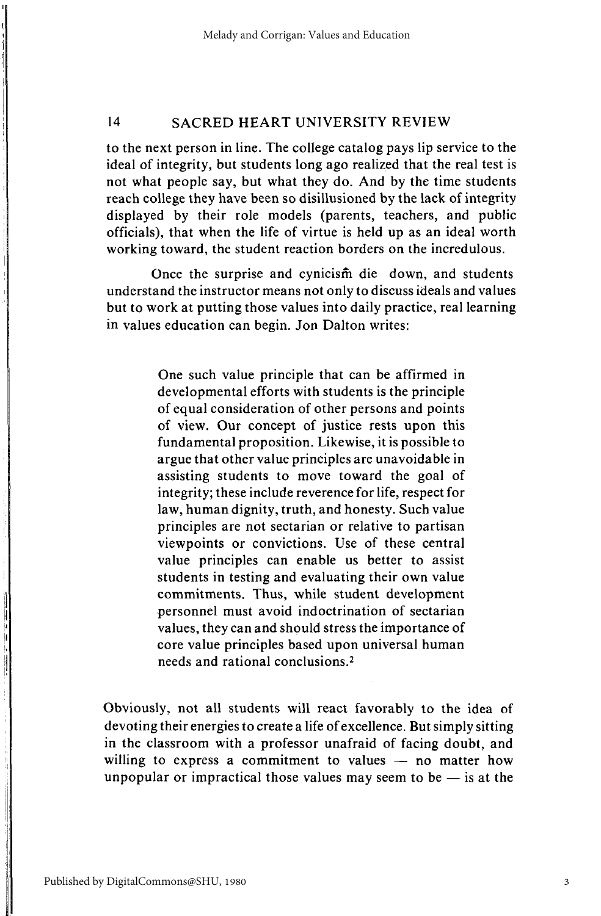to the next person in line. The college catalog pays lip service to the ideal of integrity, but students long ago realized that the real test is not what people say, but what they do. And by the time students reach college they have been so disillusioned by the lack of integrity displayed by their role models (parents, teachers, and public officials), that when the life of virtue is held up as an ideal worth working toward, the student reaction borders on the incredulous.

Once the surprise and cynicism die down, and students understand the instructor means not only to discuss ideals and values but to work at putting those values into daily practice, real learning in values education can begin. Jon Dalton writes:

> One such value principle that can be affirmed in developmental efforts with students is the principle of equal consideration of other persons and points of view. Our concept of justice rests upon this fundamental proposition. Likewise, it is possible to argue that other value principles are unavoidable in assisting students to move toward the goal of integrity; these include reverence for life, respect for law, human dignity, truth, and honesty. Such value principles are not sectarian or relative to partisan viewpoints or convictions. Use of these central value principles can enable us better to assist students in testing and evaluating their own value commitments. Thus, while student development personnel must avoid indoctrination of sectarian values, they can and should stress the importance of core value principles based upon universal human needs and rational conclusions.<sup>2</sup>

Obviously, not all students will react favorably to the idea of devoting their energies to create a life of excellence. But simply sitting in the classroom with a professor unafraid of facing doubt, and willing to express a commitment to values — no matter how unpopular or impractical those values may seem to be  $-$  is at the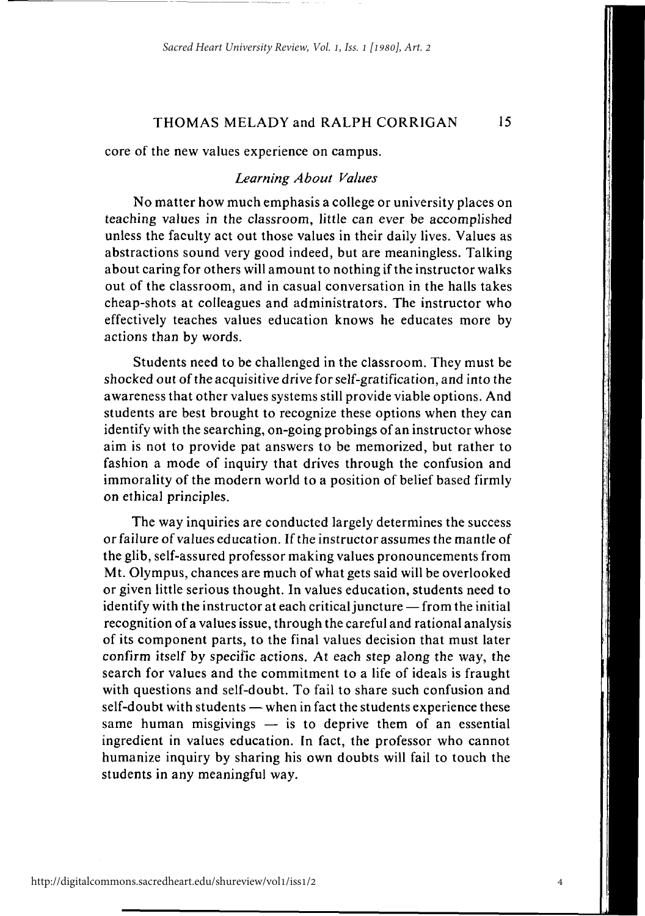**15** 

core of the new values experience on campus.

#### *Learning About Values*

No matter how much emphasis a college or university places on teaching values in the classroom, little can ever be accomplished unless the faculty act out those values in their daily lives. Values as abstractions sound very good indeed, but are meaningless. Talking about caring for others will amount to nothing if the instructor walks out of the classroom, and in casual conversation in the halls takes cheap-shots at colleagues and administrators. The instructor who effectively teaches values education knows he educates more by actions than by words.

Students need to be challenged in the classroom. They must be shocked out of the acquisitive drive for self-gratification, and into the awareness that other values systems still provide viable options. And students are best brought to recognize these options when they can identify with the searching, on-going probings of an instructor whose aim is not to provide pat answers to be memorized, but rather to fashion a mode of inquiry that drives through the confusion and immorality of the modern world to a position of belief based firmly on ethical principles.

The way inquiries are conducted largely determines the success or failure of values education. If the instructor assumes the mantle of the glib, self-assured professor making values pronouncements from Mt. Olympus, chances are much of what gets said will be overlooked or given little serious thought. In values education, students need to identify with the instructor at each critical juncture — from the initial recognition of a values issue, through the careful and rational analysis of its component parts, to the final values decision that must later confirm itself by specific actions. At each step along the way, the search for values and the commitment to a life of ideals is fraught with questions and self-doubt. To fail to share such confusion and self-doubt with students — when in fact the students experience these same human misgivings  $-$  is to deprive them of an essential ingredient in values education. In fact, the professor who cannot humanize inquiry by sharing his own doubts will fail to touch the students in any meaningful way.

http://digitalcommons.sacredheart.edu/shureview/vol1/iss1/2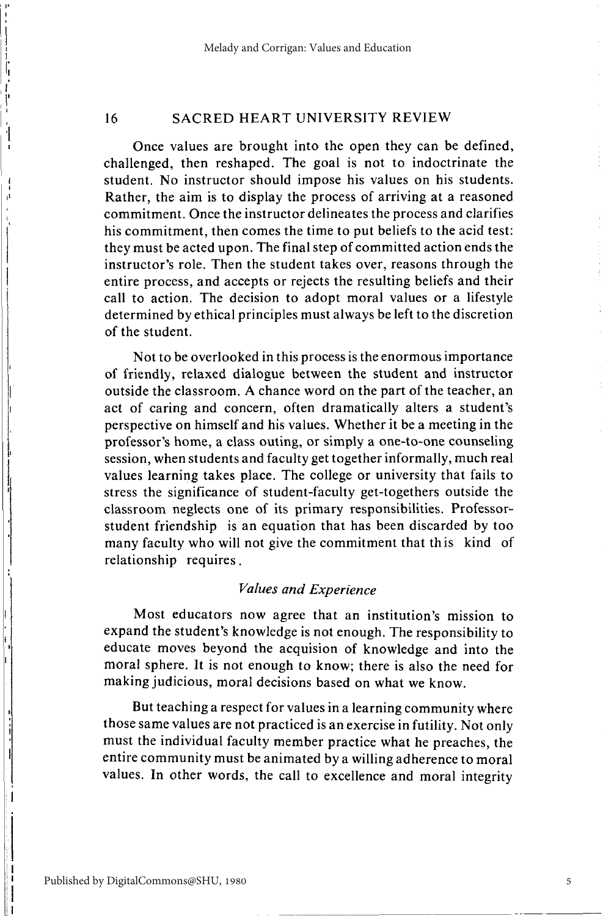Once values are brought into the open they can be defined, challenged, then reshaped. The goal is not to indoctrinate the student. No instructor should impose his values on his students. Rather, the aim is to display the process of arriving at a reasoned commitment. Once the instructor delineates the process and clarifies his commitment, then comes the time to put beliefs to the acid test: they must be acted upon. The final step of committed action ends the instructor's role. Then the student takes over, reasons through the entire process, and accepts or rejects the resulting beliefs and their call to action. The decision to adopt moral values or a lifestyle determined by ethical principles must always be left to the discretion of the student.

Not to be overlooked in this process is the enormous importance of friendly, relaxed dialogue between the student and instructor outside the classroom. A chance word on the part of the teacher, an act of caring and concern, often dramatically alters a student's perspective on himself and his values. Whether it be a meeting in the professor's home, a class outing, or simply a one-to-one counseling session, when students and faculty get together informally, much real values learning takes place. The college or university that fails to stress the significance of student-faculty get-togethers outside the classroom neglects one of its primary responsibilities. Professorstudent friendship is an equation that has been discarded by too many faculty who will not give the commitment that this kind of relationship requires.

## *Values and Experience*

Most educators now agree that an institution's mission to expand the student's knowledge is not enough. The responsibility to educate moves beyond the acquision of knowledge and into the moral sphere. It is not enough to know; there is also the need for making judicious, moral decisions based on what we know.

But teaching a respect for values in a learning community where those same values are not practiced is an exercise in futility. Not only must the individual faculty member practice what he preaches, the entire community must be animated by a willing adherence to moral values. In other words, the call to excellence and moral integrity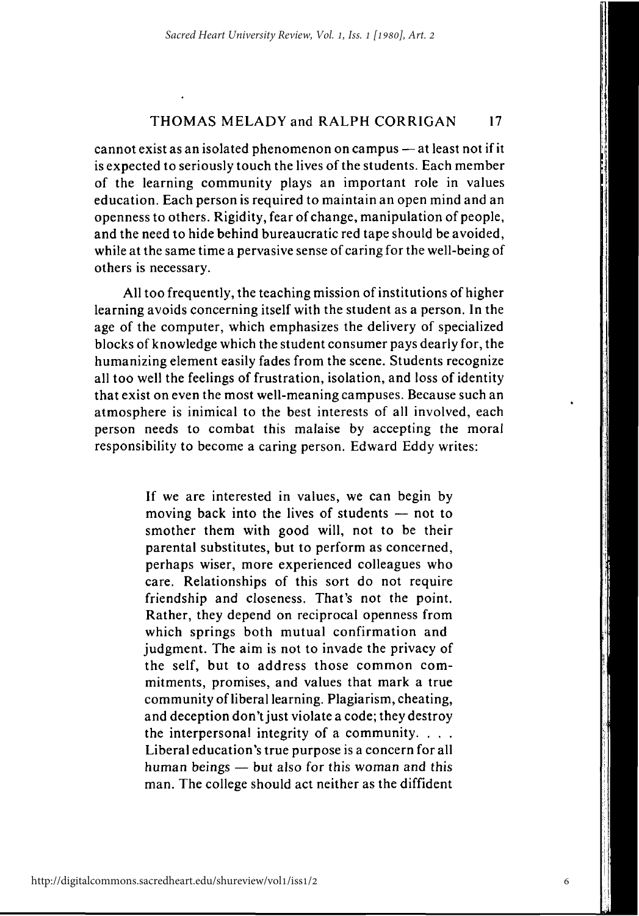cannot exist as an isolated phenomenon on campus — at least not if it is expected to seriously touch the lives of the students. Each member of the learning community plays an important role in values education. Each person is required to maintain an open mind and an openness to others. Rigidity, fear of change, manipulation of people, and the need to hide behind bureaucratic red tape should be avoided, while at the same time a pervasive sense of caring for the well-being of others is necessary.

All too frequently, the teaching mission of institutions of higher learning avoids concerning itself with the student as a person. In the age of the computer, which emphasizes the delivery of specialized blocks of knowledge which the student consumer pays dearly for, the humanizing element easily fades from the scene. Students recognize all too well the feelings of frustration, isolation, and loss of identity that exist on even the most well-meaning campuses. Because such an atmosphere is inimical to the best interests of all involved, each person needs to combat this malaise by accepting the moral responsibility to become a caring person. Edward Eddy writes:

> If we are interested in values, we can begin by moving back into the lives of students — not to smother them with good will, not to be their parental substitutes, but to perform as concerned, perhaps wiser, more experienced colleagues who care. Relationships of this sort do not require friendship and closeness. That's not the point. Rather, they depend on reciprocal openness from which springs both mutual confirmation and judgment. The aim is not to invade the privacy of the self, but to address those common commitments, promises, and values that mark a true community of liberal learning. Plagiarism, cheating, and deception don't just violate a code; they destroy the interpersonal integrity of a community. . . . Liberal education's true purpose is a concern for all human beings — but also for this woman and this man. The college should act neither as the diffident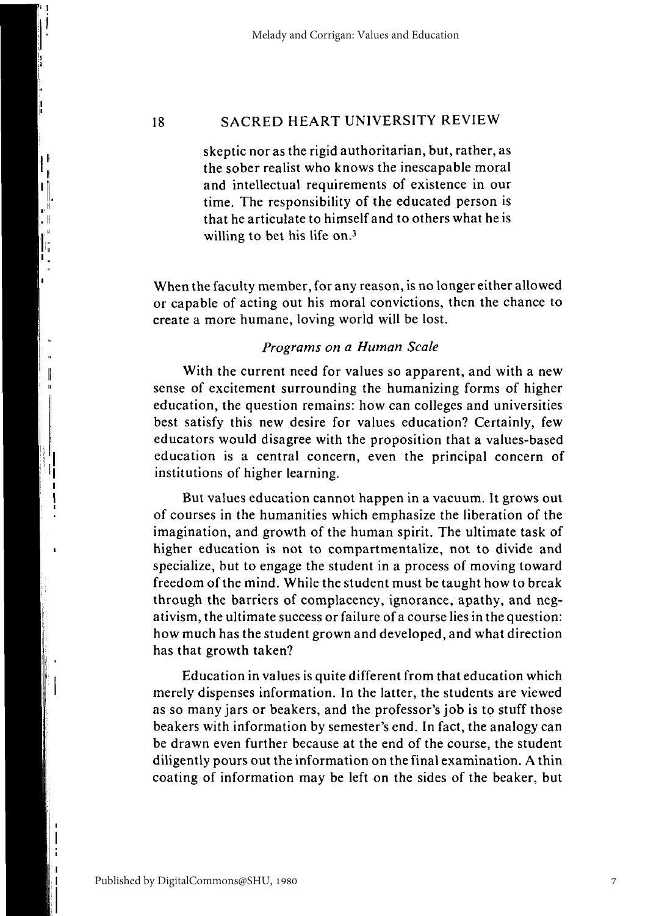skeptic nor as the rigid authoritarian, but, rather, as the sober realist who knows the inescapable moral and intellectual requirements of existence in our time. The responsibility of the educated person is that he articulate to himself and to others what he is willing to bet his life on.<sup>3</sup>

When the faculty member, for any reason, is no longer either allowed or capable of acting out his moral convictions, then the chance to create a more humane, loving world will be lost.

# *Programs on a Human Scale*

With the current need for values so apparent, and with a new sense of excitement surrounding the humanizing forms of higher education, the question remains: how can colleges and universities best satisfy this new desire for values education? Certainly, few educators would disagree with the proposition that a values-based education is a central concern, even the principal concern of institutions of higher learning.

But values education cannot happen in a vacuum. It grows out of courses in the humanities which emphasize the liberation of the imagination, and growth of the human spirit. The ultimate task of higher education is not to compartmentalize, not to divide and specialize, but to engage the student in a process of moving toward freedom of the mind. While the student must be taught how to break through the barriers of complacency, ignorance, apathy, and negativism, the ultimate success or failure of a course lies in the question: how much has the student grown and developed, and what direction has that growth taken?

Education in values is quite different from that education which merely dispenses information. In the latter, the students are viewed as so many jars or beakers, and the professor's job is to stuff those beakers with information by semester's end. In fact, the analogy can be drawn even further because at the end of the course, the student diligently pours out the information on the final examination. A thin coating of information may be left on the sides of the beaker, but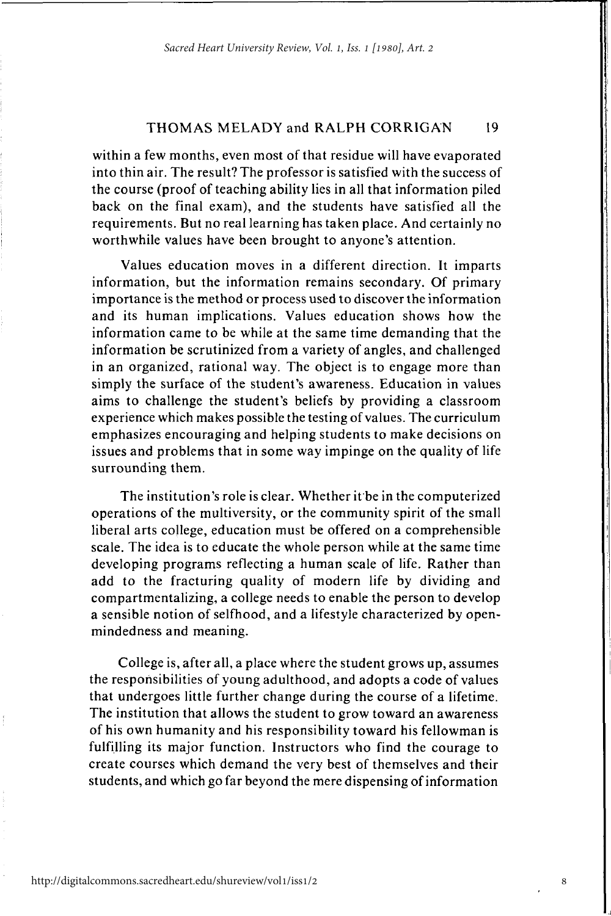within a few months, even most of that residue will have evaporated into thin air. The result? The professor is satisfied with the success of the course (proof of teaching ability lies in all that information piled back on the final exam), and the students have satisfied all the requirements. But no real learning has taken place. And certainly no worthwhile values have been brought to anyone's attention.

Values education moves in a different direction. It imparts information, but the information remains secondary. Of primary importance is the method or process used to discover the information and its human implications. Values education shows how the information came to be while at the same time demanding that the information be scrutinized from a variety of angles, and challenged in an organized, rational way. The object is to engage more than simply the surface of the student's awareness. Education in values aims to challenge the student's beliefs by providing a classroom experience which makes possible the testing of values. The curriculum emphasizes encouraging and helping students to make decisions on issues and problems that in some way impinge on the quality of life surrounding them.

The institution's role is clear. Whether it be in the computerized operations of the multiversity, or the community spirit of the small liberal arts college, education must be offered on a comprehensible scale. The idea is to educate the whole person while at the same time developing programs reflecting a human scale of life. Rather than add to the fracturing quality of modern life by dividing and compartmentalizing, a college needs to enable the person to develop a sensible notion of selfhood, and a lifestyle characterized by openmindedness and meaning.

College is, after all, a place where the student grows up, assumes the responsibilities of young adulthood, and adopts a code of values that undergoes little further change during the course of a lifetime. The institution that allows the student to grow toward an awareness of his own humanity and his responsibility toward his fellowman is fulfilling its major function. Instructors who find the courage to create courses which demand the very best of themselves and their students, and which go far beyond the mere dispensing of information